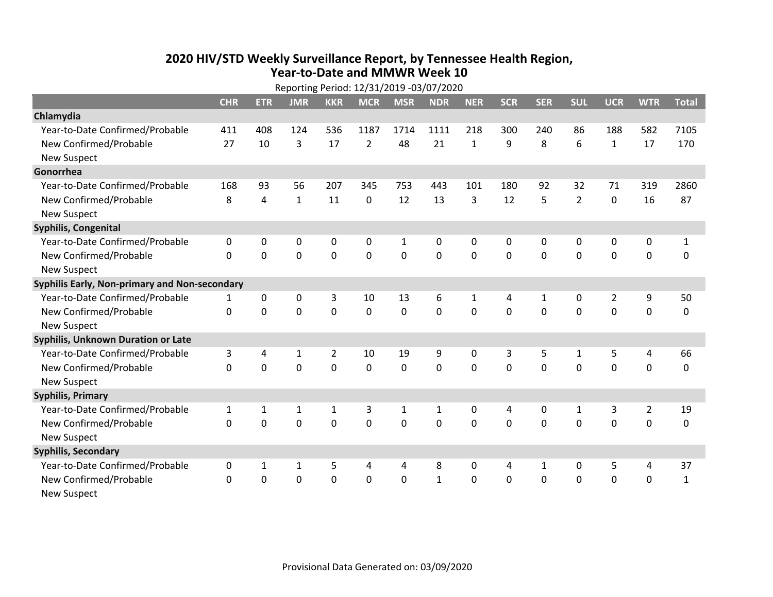## **2020 HIV /STD Weekly Surveillance Report, by Tennessee Health Region, Year‐to‐Date and MMWR Week 10** Reporting Period: 12/31/2019 ‐03/07/2020

| Reporting Period: 12/31/2019 -03/07/2020      |              |                |              |                |                |             |              |              |            |              |                |                |                |              |
|-----------------------------------------------|--------------|----------------|--------------|----------------|----------------|-------------|--------------|--------------|------------|--------------|----------------|----------------|----------------|--------------|
|                                               | <b>CHR</b>   | <b>ETR</b>     | <b>JMR</b>   | <b>KKR</b>     | <b>MCR</b>     | <b>MSR</b>  | <b>NDR</b>   | <b>NER</b>   | <b>SCR</b> | <b>SER</b>   | <b>SUL</b>     | <b>UCR</b>     | <b>WTR</b>     | <b>Total</b> |
| Chlamydia                                     |              |                |              |                |                |             |              |              |            |              |                |                |                |              |
| Year-to-Date Confirmed/Probable               | 411          | 408            | 124          | 536            | 1187           | 1714        | 1111         | 218          | 300        | 240          | 86             | 188            | 582            | 7105         |
| New Confirmed/Probable                        | 27           | 10             | 3            | 17             | $\overline{2}$ | 48          | 21           | $\mathbf{1}$ | 9          | 8            | 6              | $\mathbf{1}$   | 17             | 170          |
| <b>New Suspect</b>                            |              |                |              |                |                |             |              |              |            |              |                |                |                |              |
| Gonorrhea                                     |              |                |              |                |                |             |              |              |            |              |                |                |                |              |
| Year-to-Date Confirmed/Probable               | 168          | 93             | 56           | 207            | 345            | 753         | 443          | 101          | 180        | 92           | 32             | 71             | 319            | 2860         |
| New Confirmed/Probable                        | 8            | $\overline{a}$ | $\mathbf{1}$ | 11             | 0              | 12          | 13           | 3            | 12         | 5            | $\overline{2}$ | $\mathbf 0$    | 16             | 87           |
| <b>New Suspect</b>                            |              |                |              |                |                |             |              |              |            |              |                |                |                |              |
| <b>Syphilis, Congenital</b>                   |              |                |              |                |                |             |              |              |            |              |                |                |                |              |
| Year-to-Date Confirmed/Probable               | 0            | 0              | 0            | 0              | 0              | 1           | 0            | 0            | 0          | 0            | 0              | 0              | 0              | $\mathbf{1}$ |
| New Confirmed/Probable                        | $\Omega$     | 0              | 0            | 0              | $\mathbf 0$    | $\mathbf 0$ | 0            | $\Omega$     | $\Omega$   | $\mathbf 0$  | $\mathbf 0$    | $\mathbf 0$    | $\mathbf 0$    | 0            |
| <b>New Suspect</b>                            |              |                |              |                |                |             |              |              |            |              |                |                |                |              |
| Syphilis Early, Non-primary and Non-secondary |              |                |              |                |                |             |              |              |            |              |                |                |                |              |
| Year-to-Date Confirmed/Probable               | 1            | 0              | 0            | 3              | 10             | 13          | 6            | 1            | 4          | $\mathbf{1}$ | 0              | $\overline{2}$ | 9              | 50           |
| New Confirmed/Probable                        | $\Omega$     | $\Omega$       | 0            | 0              | $\mathbf 0$    | 0           | 0            | $\Omega$     | $\Omega$   | $\mathbf{0}$ | 0              | 0              | $\mathbf 0$    | 0            |
| <b>New Suspect</b>                            |              |                |              |                |                |             |              |              |            |              |                |                |                |              |
| Syphilis, Unknown Duration or Late            |              |                |              |                |                |             |              |              |            |              |                |                |                |              |
| Year-to-Date Confirmed/Probable               | 3            | 4              | $\mathbf{1}$ | $\overline{2}$ | 10             | 19          | 9            | $\mathbf{0}$ | 3          | 5            | 1              | 5              | 4              | 66           |
| New Confirmed/Probable                        | 0            | $\mathbf 0$    | 0            | 0              | 0              | 0           | 0            | $\Omega$     | $\Omega$   | $\Omega$     | $\Omega$       | $\mathbf 0$    | 0              | 0            |
| <b>New Suspect</b>                            |              |                |              |                |                |             |              |              |            |              |                |                |                |              |
| <b>Syphilis, Primary</b>                      |              |                |              |                |                |             |              |              |            |              |                |                |                |              |
| Year-to-Date Confirmed/Probable               | $\mathbf{1}$ | $\mathbf{1}$   | 1            | 1              | 3              | 1           | $\mathbf{1}$ | $\mathbf{0}$ | 4          | $\mathbf{0}$ | $\mathbf{1}$   | 3              | $\overline{2}$ | 19           |
| New Confirmed/Probable                        | $\Omega$     | $\Omega$       | 0            | 0              | $\Omega$       | $\Omega$    | $\mathbf 0$  | $\Omega$     | $\Omega$   | $\Omega$     | $\Omega$       | $\Omega$       | $\mathbf 0$    | 0            |
| <b>New Suspect</b>                            |              |                |              |                |                |             |              |              |            |              |                |                |                |              |
| <b>Syphilis, Secondary</b>                    |              |                |              |                |                |             |              |              |            |              |                |                |                |              |
| Year-to-Date Confirmed/Probable               | 0            | $\mathbf 1$    | 1            | 5              | 4              | 4           | 8            | 0            | 4          | 1            | 0              | 5              | 4              | 37           |
| New Confirmed/Probable                        | $\Omega$     | $\mathbf 0$    | 0            | 0              | $\mathbf 0$    | $\mathbf 0$ | $\mathbf{1}$ | $\Omega$     | $\Omega$   | $\mathbf 0$  | $\mathbf 0$    | $\mathbf 0$    | $\mathbf 0$    | $\mathbf{1}$ |
| New Suspect                                   |              |                |              |                |                |             |              |              |            |              |                |                |                |              |